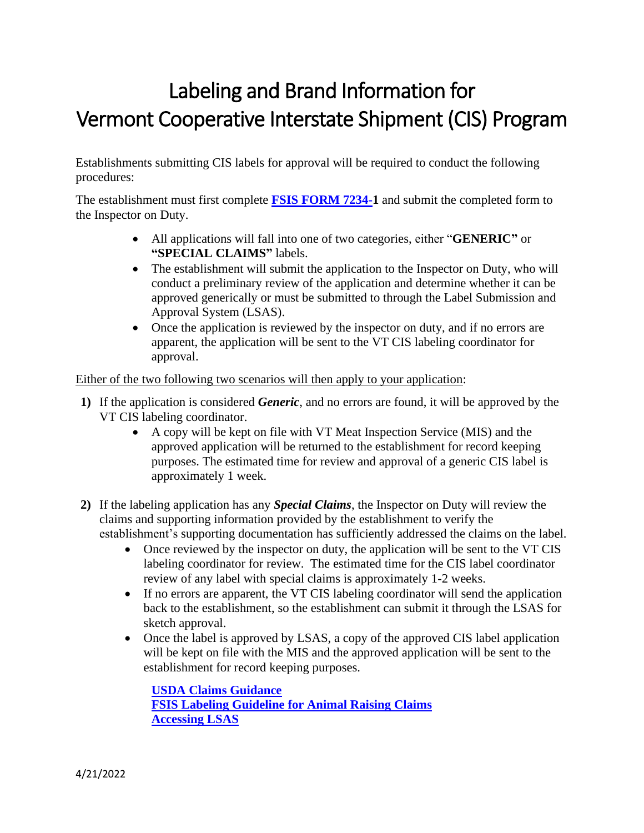# Labeling and Brand Information for Vermont Cooperative Interstate Shipment (CIS) Program

Establishments submitting CIS labels for approval will be required to conduct the following procedures:

The establishment must first complete **[FSIS FORM 7234-1](https://www.fsis.usda.gov/wps/wcm/connect/4aeeca8c-8ba6-4288-a222-e6ca8764a9f7/FSIS_7234-1_Approval_of_Labels.pdf?MOD=AJPERES)** and submit the completed form to the Inspector on Duty.

- All applications will fall into one of two categories, either "**GENERIC"** or **"SPECIAL CLAIMS"** labels.
- The establishment will submit the application to the Inspector on Duty, who will conduct a preliminary review of the application and determine whether it can be approved generically or must be submitted to through the Label Submission and Approval System (LSAS).
- Once the application is reviewed by the inspector on duty, and if no errors are apparent, the application will be sent to the VT CIS labeling coordinator for approval.

Either of the two following two scenarios will then apply to your application:

- **1)** If the application is considered *Generic*, and no errors are found, it will be approved by the VT CIS labeling coordinator.
	- A copy will be kept on file with VT Meat Inspection Service (MIS) and the approved application will be returned to the establishment for record keeping purposes. The estimated time for review and approval of a generic CIS label is approximately 1 week.
- **2)** If the labeling application has any *Special Claims*, the Inspector on Duty will review the claims and supporting information provided by the establishment to verify the establishment's supporting documentation has sufficiently addressed the claims on the label.
	- Once reviewed by the inspector on duty, the application will be sent to the VT CIS labeling coordinator for review. The estimated time for the CIS label coordinator review of any label with special claims is approximately 1-2 weeks.
	- If no errors are apparent, the VT CIS labeling coordinator will send the application back to the establishment, so the establishment can submit it through the LSAS for sketch approval.
	- Once the label is approved by LSAS, a copy of the approved CIS label application will be kept on file with the MIS and the approved application will be sent to the establishment for record keeping purposes.

**[USDA Claims Guidance](https://www.fsis.usda.gov/inspection/compliance-guidance/labeling/claims-guidance) FSIS Labeling Guideline [for Animal Raising Claims](https://www.fsis.usda.gov/guidelines/2019-0009) [Accessing LSAS](https://www.fsis.usda.gov/inspection/compliance-guidance/labeling/label-submission-and-approval-system-lsas)**